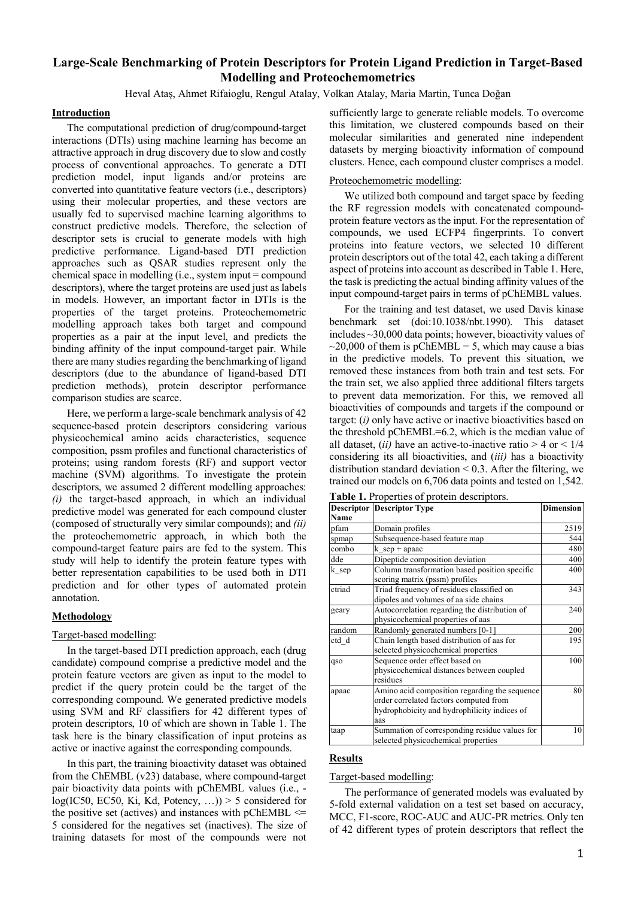# **Large-Scale Benchmarking of Protein Descriptors for Protein Ligand Prediction in Target-Based Modelling and Proteochemometrics**

Heval Ataş, Ahmet Rifaioglu, Rengul Atalay, Volkan Atalay, Maria Martin, Tunca Doğan

## **Introduction**

The computational prediction of drug/compound-target interactions (DTIs) using machine learning has become an attractive approach in drug discovery due to slow and costly process of conventional approaches. To generate a DTI prediction model, input ligands and/or proteins are converted into quantitative feature vectors (i.e., descriptors) using their molecular properties, and these vectors are usually fed to supervised machine learning algorithms to construct predictive models. Therefore, the selection of descriptor sets is crucial to generate models with high predictive performance. Ligand-based DTI prediction approaches such as QSAR studies represent only the chemical space in modelling (i.e., system input = compound descriptors), where the target proteins are used just as labels in models. However, an important factor in DTIs is the properties of the target proteins. Proteochemometric modelling approach takes both target and compound properties as a pair at the input level, and predicts the binding affinity of the input compound-target pair. While there are many studies regarding the benchmarking of ligand descriptors (due to the abundance of ligand-based DTI prediction methods), protein descriptor performance comparison studies are scarce.

Here, we perform a large-scale benchmark analysis of 42 sequence-based protein descriptors considering various physicochemical amino acids characteristics, sequence composition, pssm profiles and functional characteristics of proteins; using random forests (RF) and support vector machine (SVM) algorithms. To investigate the protein descriptors, we assumed 2 different modelling approaches: *(i)* the target-based approach, in which an individual predictive model was generated for each compound cluster (composed of structurally very similar compounds); and *(ii)* the proteochemometric approach, in which both the compound-target feature pairs are fed to the system. This study will help to identify the protein feature types with better representation capabilities to be used both in DTI prediction and for other types of automated protein annotation.

### **Methodology**

#### Target-based modelling:

In the target-based DTI prediction approach, each (drug candidate) compound comprise a predictive model and the protein feature vectors are given as input to the model to predict if the query protein could be the target of the corresponding compound. We generated predictive models using SVM and RF classifiers for 42 different types of protein descriptors, 10 of which are shown in Table 1. The task here is the binary classification of input proteins as active or inactive against the corresponding compounds.

In this part, the training bioactivity dataset was obtained from the ChEMBL (v23) database, where compound-target pair bioactivity data points with pChEMBL values (i.e.,  $log(IC50, EC50, Ki, Kd, Potency, ...)$  > 5 considered for the positive set (actives) and instances with pChEMBL  $\le$ 5 considered for the negatives set (inactives). The size of training datasets for most of the compounds were not

sufficiently large to generate reliable models. To overcome this limitation, we clustered compounds based on their molecular similarities and generated nine independent datasets by merging bioactivity information of compound clusters. Hence, each compound cluster comprises a model.

### Proteochemometric modelling:

We utilized both compound and target space by feeding the RF regression models with concatenated compoundprotein feature vectors as the input. For the representation of compounds, we used ECFP4 fingerprints. To convert proteins into feature vectors, we selected 10 different protein descriptors out of the total 42, each taking a different aspect of proteins into account as described in Table 1. Here, the task is predicting the actual binding affinity values of the input compound-target pairs in terms of pChEMBL values.

For the training and test dataset, we used Davis kinase benchmark set (doi:10.1038/nbt.1990). This dataset includes ~30,000 data points; however, bioactivity values of  $\sim$ 20,000 of them is pChEMBL = 5, which may cause a bias in the predictive models. To prevent this situation, we removed these instances from both train and test sets. For the train set, we also applied three additional filters targets to prevent data memorization. For this, we removed all bioactivities of compounds and targets if the compound or target: (*i)* only have active or inactive bioactivities based on the threshold pChEMBL=6.2, which is the median value of all dataset, *(ii)* have an active-to-inactive ratio  $> 4$  or  $< 1/4$ considering its all bioactivities, and (*iii)* has a bioactivity distribution standard deviation  $< 0.3$ . After the filtering, we trained our models on 6,706 data points and tested on 1,542.

|        | <b>Descriptor Descriptor Type</b>             | <b>Dimension</b> |
|--------|-----------------------------------------------|------------------|
| Name   |                                               |                  |
| pfam   | Domain profiles                               | 2519             |
| spmap  | Subsequence-based feature map                 | 544              |
| combo  | $k$ sep + apaac                               | 480              |
| dde    | Dipeptide composition deviation               | 400              |
| k sep  | Column transformation based position specific | 400              |
|        | scoring matrix (pssm) profiles                |                  |
| ctriad | Triad frequency of residues classified on     | 343              |
|        | dipoles and volumes of aa side chains         |                  |
| geary  | Autocorrelation regarding the distribution of | 240              |
|        | physicochemical properties of aas             |                  |
| random | Randomly generated numbers [0-1]              | 200              |
| ctd d  | Chain length based distribution of aas for    | 195              |
|        | selected physicochemical properties           |                  |
| qso    | Sequence order effect based on                | 100              |
|        | physicochemical distances between coupled     |                  |
|        | residues                                      |                  |
| apaac  | Amino acid composition regarding the sequence | 80               |
|        | order correlated factors computed from        |                  |
|        | hydrophobicity and hydrophilicity indices of  |                  |
|        | aas                                           |                  |
| taap   | Summation of corresponding residue values for | 10               |
|        | selected physicochemical properties           |                  |

**Table 1.** Properties of protein descriptors.

### **Results**

#### Target-based modelling:

The performance of generated models was evaluated by 5-fold external validation on a test set based on accuracy, MCC, F1-score, ROC-AUC and AUC-PR metrics. Only ten of 42 different types of protein descriptors that reflect the